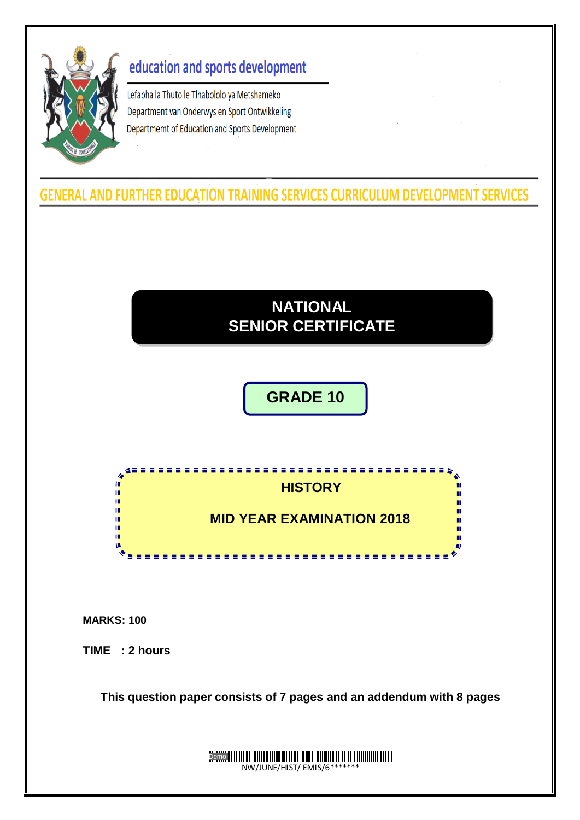

# education and sports development

Lefapha la Thuto le Tlhabololo ya Metshameko Department van Onderwys en Sport Ontwikkeling Departmemt of Education and Sports Development

**GENERAL AND FURTHER EDUCATION TRAINING SERVICES CURRICULUM DEVELOPMENT SERVICES** 

# **NATIONAL SENIOR CERTIFICATE**

# **GRADE 10**



**MARKS: 100**

**TIME : 2 hours**

**This question paper consists of 7 pages and an addendum with 8 pages**

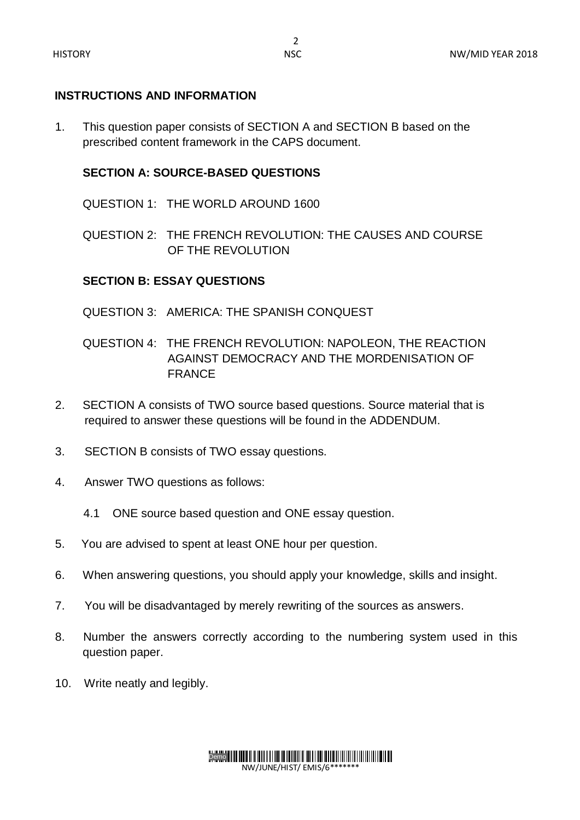#### **INSTRUCTIONS AND INFORMATION**

1. This question paper consists of SECTION A and SECTION B based on the prescribed content framework in the CAPS document.

#### **SECTION A: SOURCE-BASED QUESTIONS**

QUESTION 1: THE WORLD AROUND 1600

QUESTION 2: THE FRENCH REVOLUTION: THE CAUSES AND COURSE OF THE REVOLUTION

#### **SECTION B: ESSAY QUESTIONS**

- QUESTION 3: AMERICA: THE SPANISH CONQUEST
- QUESTION 4: THE FRENCH REVOLUTION: NAPOLEON, THE REACTION AGAINST DEMOCRACY AND THE MORDENISATION OF FRANCE
- 2. SECTION A consists of TWO source based questions. Source material that is required to answer these questions will be found in the ADDENDUM.
- 3. SECTION B consists of TWO essay questions.
- 4. Answer TWO questions as follows:
	- 4.1 ONE source based question and ONE essay question.
- 5. You are advised to spent at least ONE hour per question.
- 6. When answering questions, you should apply your knowledge, skills and insight.
- 7. You will be disadvantaged by merely rewriting of the sources as answers.
- 8. Number the answers correctly according to the numbering system used in this question paper.
- 10. Write neatly and legibly.

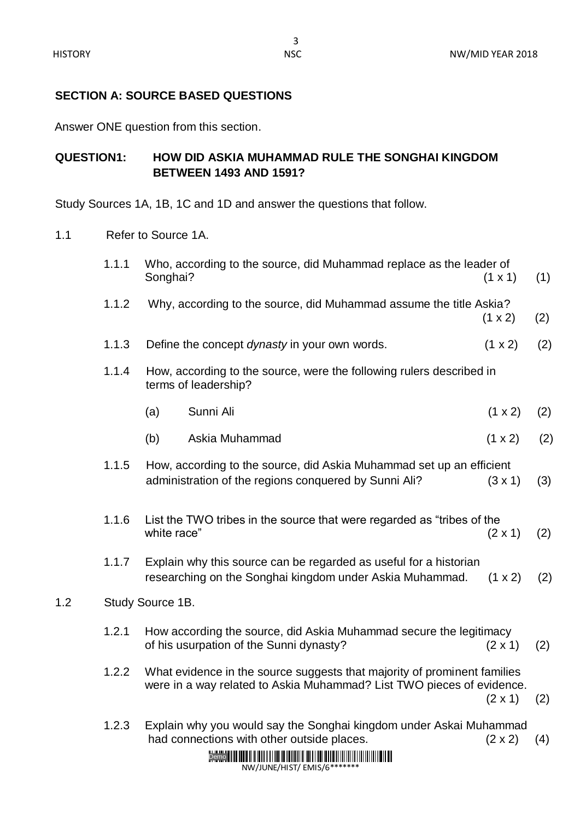$1.2$ 

### **SECTION A: SOURCE BASED QUESTIONS**

Answer ONE question from this section.

## **QUESTION1: HOW DID ASKIA MUHAMMAD RULE THE SONGHAI KINGDOM BETWEEN 1493 AND 1591?**

Study Sources 1A, 1B, 1C and 1D and answer the questions that follow.

1.1 Refer to Source 1A.

| 1.1.1 | Songhai?                                                                                                                                                            | Who, according to the source, did Muhammad replace as the leader of                                                           | $(1 \times 1)$ | (1) |  |  |
|-------|---------------------------------------------------------------------------------------------------------------------------------------------------------------------|-------------------------------------------------------------------------------------------------------------------------------|----------------|-----|--|--|
| 1.1.2 |                                                                                                                                                                     | Why, according to the source, did Muhammad assume the title Askia?                                                            | $(1 \times 2)$ | (2) |  |  |
| 1.1.3 |                                                                                                                                                                     | Define the concept dynasty in your own words.                                                                                 | (1 x 2)        | (2) |  |  |
| 1.1.4 | How, according to the source, were the following rulers described in<br>terms of leadership?                                                                        |                                                                                                                               |                |     |  |  |
|       | (a)                                                                                                                                                                 | Sunni Ali                                                                                                                     | (1 x 2)        | (2) |  |  |
|       | (b)                                                                                                                                                                 | Askia Muhammad                                                                                                                | (1 x 2)        | (2) |  |  |
| 1.1.5 |                                                                                                                                                                     | How, according to the source, did Askia Muhammad set up an efficient<br>administration of the regions conquered by Sunni Ali? | (3x1)          | (3) |  |  |
| 1.1.6 | white race"                                                                                                                                                         | List the TWO tribes in the source that were regarded as "tribes of the                                                        | $(2 \times 1)$ | (2) |  |  |
| 1.1.7 |                                                                                                                                                                     | Explain why this source can be regarded as useful for a historian<br>researching on the Songhai kingdom under Askia Muhammad. | $(1 \times 2)$ | (2) |  |  |
|       | Study Source 1B.                                                                                                                                                    |                                                                                                                               |                |     |  |  |
| 1.2.1 |                                                                                                                                                                     | How according the source, did Askia Muhammad secure the legitimacy<br>of his usurpation of the Sunni dynasty?                 | $(2 \times 1)$ | (2) |  |  |
| 1.2.2 | What evidence in the source suggests that majority of prominent families<br>were in a way related to Askia Muhammad? List TWO pieces of evidence.<br>$(2 \times 1)$ |                                                                                                                               |                |     |  |  |
| 1.2.3 |                                                                                                                                                                     | Explain why you would say the Songhai kingdom under Askai Muhammad<br>had connections with other outside places.              | $(2 \times 2)$ | (4) |  |  |

# Demo THE HILL II FOLL II FOLL II HILL II HELL III HILL II HILL III HILL III HILL III

NW/JUNE/HIST/ EMIS/6\*\*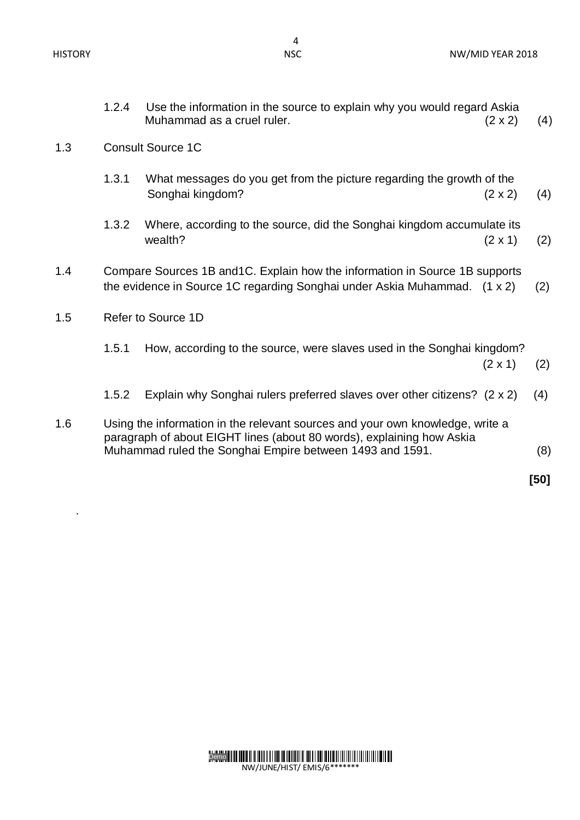.

| 1.2.4                                                                                                                                                            | Use the information in the source to explain why you would regard Askia<br>Muhammad as a cruel ruler.       | $(2 \times 2)$<br>(4)                                                                                                                                                                                              |  |  |  |  |
|------------------------------------------------------------------------------------------------------------------------------------------------------------------|-------------------------------------------------------------------------------------------------------------|--------------------------------------------------------------------------------------------------------------------------------------------------------------------------------------------------------------------|--|--|--|--|
| <b>Consult Source 1C</b>                                                                                                                                         |                                                                                                             |                                                                                                                                                                                                                    |  |  |  |  |
| 1.3.1                                                                                                                                                            | What messages do you get from the picture regarding the growth of the<br>Songhai kingdom?<br>$(2 \times 2)$ | (4)                                                                                                                                                                                                                |  |  |  |  |
| 1.3.2                                                                                                                                                            | Where, according to the source, did the Songhai kingdom accumulate its<br>wealth?<br>$(2 \times 1)$         | (2)                                                                                                                                                                                                                |  |  |  |  |
| Compare Sources 1B and 1C. Explain how the information in Source 1B supports<br>the evidence in Source 1C regarding Songhai under Askia Muhammad. (1 x 2)<br>(2) |                                                                                                             |                                                                                                                                                                                                                    |  |  |  |  |
| Refer to Source 1D                                                                                                                                               |                                                                                                             |                                                                                                                                                                                                                    |  |  |  |  |
| 1.5.1                                                                                                                                                            | How, according to the source, were slaves used in the Songhai kingdom?<br>$(2 \times 1)$                    | (2)                                                                                                                                                                                                                |  |  |  |  |
| 1.5.2                                                                                                                                                            | Explain why Songhai rulers preferred slaves over other citizens? (2 x 2)                                    | (4)                                                                                                                                                                                                                |  |  |  |  |
|                                                                                                                                                                  |                                                                                                             | (8)                                                                                                                                                                                                                |  |  |  |  |
|                                                                                                                                                                  |                                                                                                             | [50]                                                                                                                                                                                                               |  |  |  |  |
|                                                                                                                                                                  |                                                                                                             | Using the information in the relevant sources and your own knowledge, write a<br>paragraph of about EIGHT lines (about 80 words), explaining how Askia<br>Muhammad ruled the Songhai Empire between 1493 and 1591. |  |  |  |  |

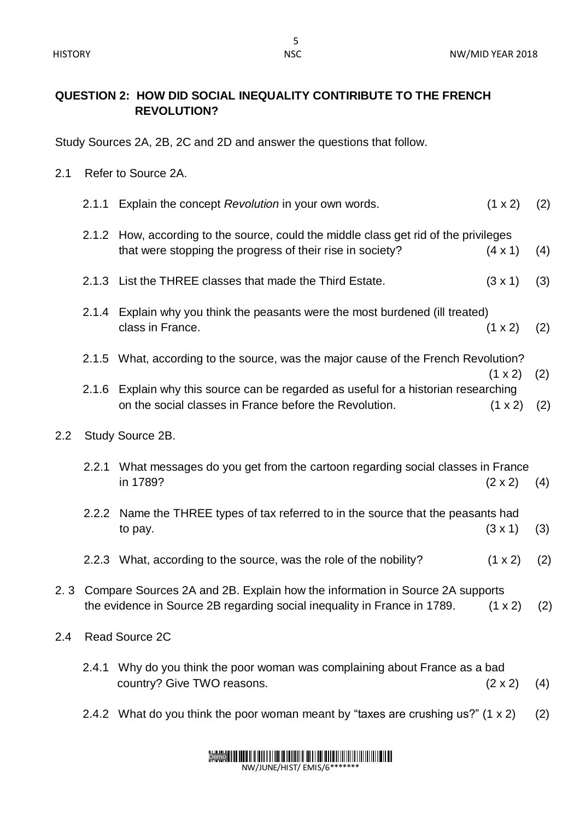## **QUESTION 2: HOW DID SOCIAL INEQUALITY CONTIRIBUTE TO THE FRENCH REVOLUTION?**

Study Sources 2A, 2B, 2C and 2D and answer the questions that follow.

- 2.1 Refer to Source 2A.
- 2.1.1 Explain the concept *Revolution* in your own words. (1 x 2) (2) 2.1.2 How, according to the source, could the middle class get rid of the privileges that were stopping the progress of their rise in society?  $(4 \times 1)$  (4) 2.1.3 List the THREE classes that made the Third Estate. (3 x 1) (3) 2.1.4 Explain why you think the peasants were the most burdened (ill treated) class in France.(1 x 2) (2) 2.1.5 What, according to the source, was the major cause of the French Revolution?  $(1 \times 2)$  (2) 2.1.6 Explain why this source can be regarded as useful for a historian researching on the social classes in France before the Revolution. (1 x 2) (2) 2.2 Study Source 2B. 2.2.1 What messages do you get from the cartoon regarding social classes in France in 1789? (2 x 2) (4) 2.2.2 Name the THREE types of tax referred to in the source that the peasants had to pay. (3 x 1) (3) 2.2.3 What, according to the source, was the role of the nobility?  $(1 \times 2)$  (2) 2. 3 Compare Sources 2A and 2B. Explain how the information in Source 2A supports the evidence in Source 2B regarding social inequality in France in 1789.  $(1 \times 2)$  (2) 2.4 Read Source 2C 2.4.1 Why do you think the poor woman was complaining about France as a bad country? Give TWO reasons.  $(2 \times 2)$  (4) 2.4.2 What do you think the poor woman meant by "taxes are crushing us?"  $(1 \times 2)$   $(2)$

# Demo

NW/JUNE/HIST/ EMIS/6\*\*\*\*\*\*\*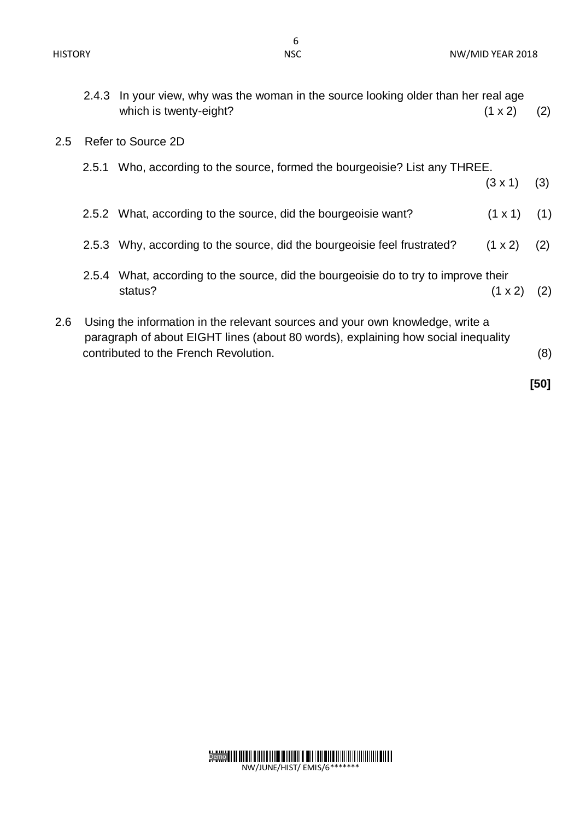| $(1 \times 2)$                                                                                                             | (2)                                                                                                                                                            |  |  |  |  |  |
|----------------------------------------------------------------------------------------------------------------------------|----------------------------------------------------------------------------------------------------------------------------------------------------------------|--|--|--|--|--|
| Refer to Source 2D                                                                                                         |                                                                                                                                                                |  |  |  |  |  |
| Who, according to the source, formed the bourgeoisie? List any THREE.                                                      |                                                                                                                                                                |  |  |  |  |  |
| $(3 \times 1)$                                                                                                             | (3)                                                                                                                                                            |  |  |  |  |  |
| $(1 \times 1)$                                                                                                             | (1)                                                                                                                                                            |  |  |  |  |  |
| $(1 \times 2)$                                                                                                             | (2)                                                                                                                                                            |  |  |  |  |  |
|                                                                                                                            |                                                                                                                                                                |  |  |  |  |  |
| $(1 \times 2)$                                                                                                             | (2)                                                                                                                                                            |  |  |  |  |  |
| Using the information in the relevant sources and your own knowledge, write a                                              |                                                                                                                                                                |  |  |  |  |  |
| paragraph of about EIGHT lines (about 80 words), explaining how social inequality<br>contributed to the French Revolution. |                                                                                                                                                                |  |  |  |  |  |
|                                                                                                                            | In your view, why was the woman in the source looking older than her real age<br>What, according to the source, did the bourgeoisie do to try to improve their |  |  |  |  |  |

 **[50]**



NW/JUNE/HIST/ EMIS/6\*\*\*\*\*\*\*

Demo

HISTORY NOTE: NOTE: NOTE: NOTE: NOTE: NOTE: NOTE: NOTE: NOTE: NOTE: NOTE: NOTE: NOTE: NOTE: NOTE: NOTE: NOTE: NOTE: NOTE: NOTE: NOTE: NOTE: NOTE: NOTE: NOTE: NOTE: NOTE: NOTE: NOTE: NOTE: NOTE: NOTE: NOTE: NOTE: NOTE: NOTE